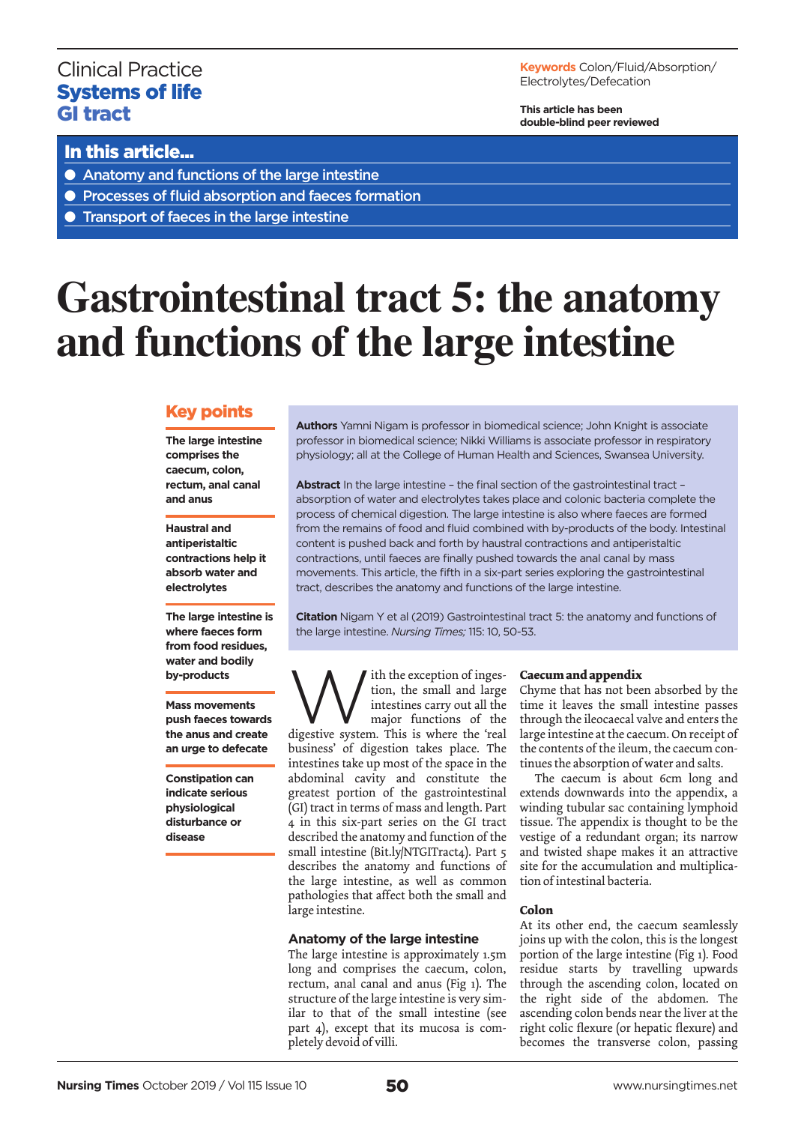# Clinical Practice Systems of life GI tract

**Keywords** Colon/Fluid/Absorption/ Electrolytes/Defecation

**This article has been double-blind peer reviewed**

# In this article...

- Anatomy and functions of the large intestine
- Processes of fluid absorption and faeces formation
- Transport of faeces in the large intestine

# **Gastrointestinal tract 5: the anatomy and functions of the large intestine**

# Key points

**The large intestine comprises the caecum, colon, rectum, anal canal and anus**

**Haustral and antiperistaltic contractions help it absorb water and electrolytes**

**The large intestine is where faeces form from food residues, water and bodily by-products**

**Mass movements push faeces towards the anus and create an urge to defecate**

**Constipation can indicate serious physiological disturbance or disease** 

**Authors** Yamni Nigam is professor in biomedical science; John Knight is associate professor in biomedical science; Nikki Williams is associate professor in respiratory physiology; all at the College of Human Health and Sciences, Swansea University.

**Abstract** In the large intestine – the final section of the gastrointestinal tract – absorption of water and electrolytes takes place and colonic bacteria complete the process of chemical digestion. The large intestine is also where faeces are formed from the remains of food and fluid combined with by-products of the body. Intestinal content is pushed back and forth by haustral contractions and antiperistaltic contractions, until faeces are finally pushed towards the anal canal by mass movements. This article, the fifth in a six-part series exploring the gastrointestinal tract, describes the anatomy and functions of the large intestine.

**Citation** Nigam Y et al (2019) Gastrointestinal tract 5: the anatomy and functions of the large intestine. *Nursing Times;* 115: 10, 50-53.

With the exception of inges-<br>tion, the small and large<br>intestines carry out all the<br>major functions of the<br>digestive system. This is where the 'real tion, the small and large intestines carry out all the major functions of the business' of digestion takes place. The intestines take up most of the space in the abdominal cavity and constitute the greatest portion of the gastrointestinal (GI) tract in terms of mass and length. Part 4 in this six-part series on the GI tract described the anatomy and function of the small intestine (Bit.ly/NTGITract4). Part 5 describes the anatomy and functions of the large intestine, as well as common pathologies that affect both the small and large intestine.

# **Anatomy of the large intestine**

The large intestine is approximately 1.5m long and comprises the caecum, colon, rectum, anal canal and anus (Fig 1). The structure of the large intestine is very similar to that of the small intestine (see part 4), except that its mucosa is completely devoid of villi.

# **Caecum and appendix**

Chyme that has not been absorbed by the time it leaves the small intestine passes through the ileocaecal valve and enters the large intestine at the caecum. On receipt of the contents of the ileum, the caecum continues the absorption of water and salts.

The caecum is about 6cm long and extends downwards into the appendix, a winding tubular sac containing lymphoid tissue. The appendix is thought to be the vestige of a redundant organ; its narrow and twisted shape makes it an attractive site for the accumulation and multiplication of intestinal bacteria.

# **Colon**

At its other end, the caecum seamlessly joins up with the colon, this is the longest portion of the large intestine (Fig 1). Food residue starts by travelling upwards through the ascending colon, located on the right side of the abdomen. The ascending colon bends near the liver at the right colic flexure (or hepatic flexure) and becomes the transverse colon, passing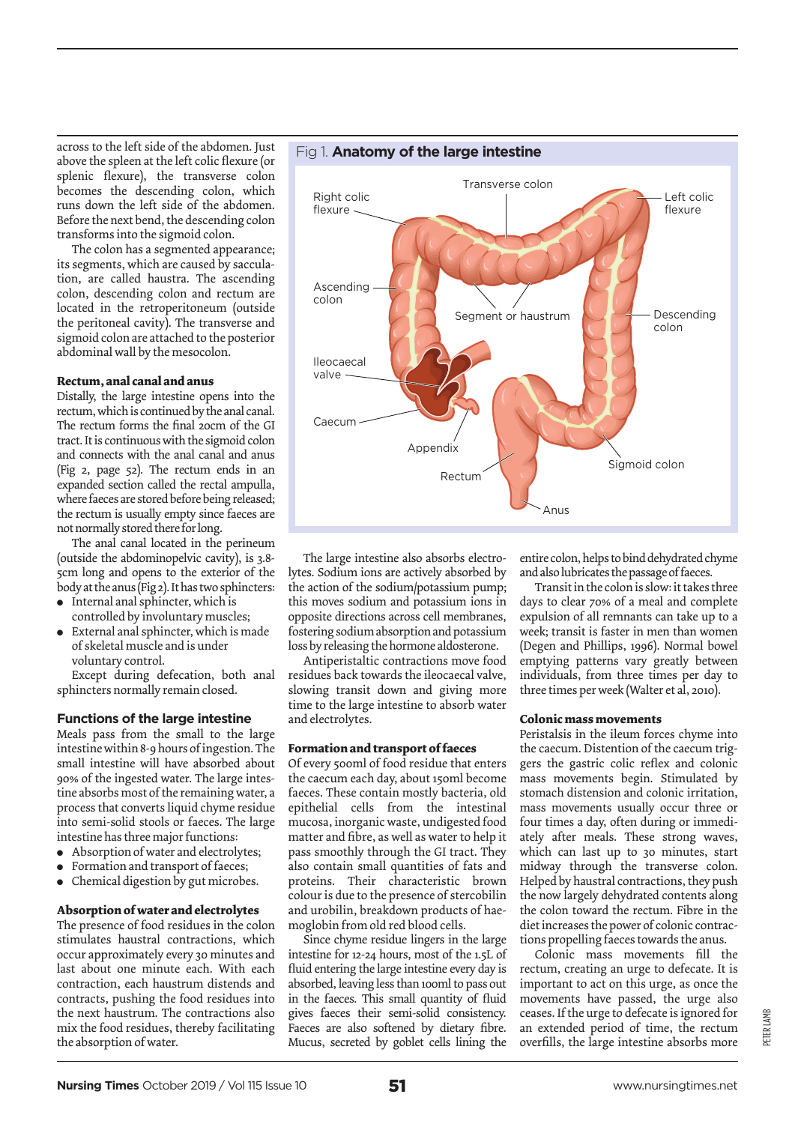across to the left side of the abdomen. Just above the spleen at the left colic flexure (or splenic flexure), the transverse colon becomes the descending colon, which runs down the left side of the abdomen. Before the next bend, the descending colon transforms into the sigmoid colon.

The colon has a segmented appearance; its segments, which are caused by sacculation, are called haustra. The ascending colon, descending colon and rectum are located in the retroperitoneum (outside the peritoneal cavity). The transverse and sigmoid colon are attached to the posterior abdominal wall by the mesocolon.

# **Rectum, anal canal and anus**

Distally, the large intestine opens into the rectum, which is continued by the anal canal. The rectum forms the final 20cm of the GI tract. It is continuous with the sigmoid colon and connects with the anal canal and anus (Fig 2, page 52). The rectum ends in an expanded section called the rectal ampulla, where faeces are stored before being released; the rectum is usually empty since faeces are not normally stored there for long.

The anal canal located in the perineum (outside the abdominopelvic cavity), is 3.8- 5cm long and opens to the exterior of the body at the anus (Fig 2). It has two sphincters:

- Internal anal sphincter, which is controlled by involuntary muscles;
- $\bullet$  External anal sphincter, which is made of skeletal muscle and is under voluntary control.

Except during defecation, both anal sphincters normally remain closed.

# **Functions of the large intestine**

Meals pass from the small to the large intestine within 8-9 hours of ingestion. The small intestine will have absorbed about 90% of the ingested water. The large intestine absorbs most of the remaining water, a process that converts liquid chyme residue into semi-solid stools or faeces. The large intestine has three major functions:

- Absorption of water and electrolytes;
- Formation and transport of faeces;
- Chemical digestion by gut microbes.

# **Absorption of water and electrolytes**

The presence of food residues in the colon stimulates haustral contractions, which occur approximately every 30 minutes and last about one minute each. With each contraction, each haustrum distends and contracts, pushing the food residues into the next haustrum. The contractions also mix the food residues, thereby facilitating the absorption of water.



The large intestine also absorbs electrolytes. Sodium ions are actively absorbed by the action of the sodium/potassium pump; this moves sodium and potassium ions in opposite directions across cell membranes, fostering sodium absorption and potassium loss by releasing the hormone aldosterone.

Antiperistaltic contractions move food residues back towards the ileocaecal valve, slowing transit down and giving more time to the large intestine to absorb water and electrolytes.

# **Formation and transport of faeces**

Of every 500ml of food residue that enters the caecum each day, about 150ml become faeces. These contain mostly bacteria, old epithelial cells from the intestinal mucosa, inorganic waste, undigested food matter and fibre, as well as water to help it pass smoothly through the GI tract. They also contain small quantities of fats and proteins. Their characteristic brown colour is due to the presence of stercobilin and urobilin, breakdown products of haemoglobin from old red blood cells.

Since chyme residue lingers in the large intestine for 12-24 hours, most of the 1.5L of fluid entering the large intestine every day is absorbed, leaving less than 100ml to pass out in the faeces. This small quantity of fluid gives faeces their semi-solid consistency. Faeces are also softened by dietary fibre. Mucus, secreted by goblet cells lining the entire colon, helps to bind dehydrated chyme and also lubricates the passage of faeces.

Transit in the colon is slow: it takes three days to clear 70% of a meal and complete expulsion of all remnants can take up to a week; transit is faster in men than women (Degen and Phillips, 1996). Normal bowel emptying patterns vary greatly between individuals, from three times per day to three times per week (Walter et al, 2010).

# **Colonic mass movements**

Peristalsis in the ileum forces chyme into the caecum. Distention of the caecum triggers the gastric colic reflex and colonic mass movements begin. Stimulated by stomach distension and colonic irritation, mass movements usually occur three or four times a day, often during or immediately after meals. These strong waves, which can last up to 30 minutes, start midway through the transverse colon. Helped by haustral contractions, they push the now largely dehydrated contents along the colon toward the rectum. Fibre in the diet increases the power of colonic contractions propelling faeces towards the anus.

Colonic mass movements fill the rectum, creating an urge to defecate. It is important to act on this urge, as once the movements have passed, the urge also ceases. If the urge to defecate is ignored for an extended period of time, the rectum overfills, the large intestine absorbs more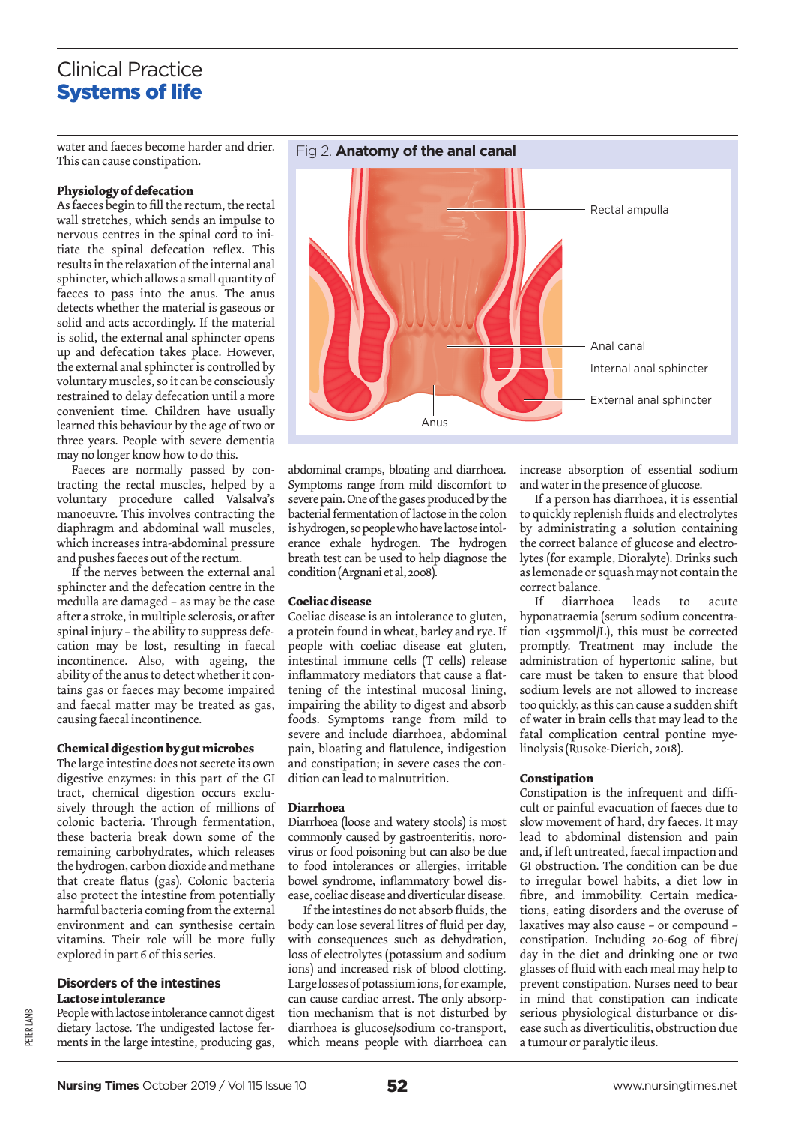# Clinical Practice Systems of life

water and faeces become harder and drier. This can cause constipation.

# **Physiology of defecation**

As faeces begin to fill the rectum, the rectal wall stretches, which sends an impulse to nervous centres in the spinal cord to initiate the spinal defecation reflex. This results in the relaxation of the internal anal sphincter, which allows a small quantity of faeces to pass into the anus. The anus detects whether the material is gaseous or solid and acts accordingly. If the material is solid, the external anal sphincter opens up and defecation takes place. However, the external anal sphincter is controlled by voluntary muscles, so it can be consciously restrained to delay defecation until a more convenient time. Children have usually learned this behaviour by the age of two or three years. People with severe dementia may no longer know how to do this.

Faeces are normally passed by contracting the rectal muscles, helped by a voluntary procedure called Valsalva's manoeuvre. This involves contracting the diaphragm and abdominal wall muscles, which increases intra-abdominal pressure and pushes faeces out of the rectum.

If the nerves between the external anal sphincter and the defecation centre in the medulla are damaged – as may be the case after a stroke, in multiple sclerosis, or after spinal injury – the ability to suppress defecation may be lost, resulting in faecal incontinence. Also, with ageing, the ability of the anus to detect whether it contains gas or faeces may become impaired and faecal matter may be treated as gas, causing faecal incontinence.

# **Chemical digestion by gut microbes**

The large intestine does not secrete its own digestive enzymes: in this part of the GI tract, chemical digestion occurs exclusively through the action of millions of colonic bacteria. Through fermentation, these bacteria break down some of the remaining carbohydrates, which releases the hydrogen, carbon dioxide and methane that create flatus (gas). Colonic bacteria also protect the intestine from potentially harmful bacteria coming from the external environment and can synthesise certain vitamins. Their role will be more fully explored in part 6 of this series.

# **Disorders of the intestines Lactose intolerance**

People with lactose intolerance cannot digest dietary lactose. The undigested lactose ferments in the large intestine, producing gas,



abdominal cramps, bloating and diarrhoea. Symptoms range from mild discomfort to severe pain. One of the gases produced by the bacterial fermentation of lactose in the colon is hydrogen, so people who have lactose intolerance exhale hydrogen. The hydrogen breath test can be used to help diagnose the condition (Argnani et al, 2008).

# **Coeliac disease**

Coeliac disease is an intolerance to gluten, a protein found in wheat, barley and rye. If people with coeliac disease eat gluten, intestinal immune cells (T cells) release inflammatory mediators that cause a flattening of the intestinal mucosal lining, impairing the ability to digest and absorb foods. Symptoms range from mild to severe and include diarrhoea, abdominal pain, bloating and flatulence, indigestion and constipation; in severe cases the condition can lead to malnutrition.

# **Diarrhoea**

Diarrhoea (loose and watery stools) is most commonly caused by gastroenteritis, norovirus or food poisoning but can also be due to food intolerances or allergies, irritable bowel syndrome, inflammatory bowel disease, coeliac disease and diverticular disease.

If the intestines do not absorb fluids, the body can lose several litres of fluid per day, with consequences such as dehydration, loss of electrolytes (potassium and sodium ions) and increased risk of blood clotting. Large losses of potassium ions, for example, can cause cardiac arrest. The only absorption mechanism that is not disturbed by diarrhoea is glucose/sodium co-transport, which means people with diarrhoea can

increase absorption of essential sodium and water in the presence of glucose.

If a person has diarrhoea, it is essential to quickly replenish fluids and electrolytes by administrating a solution containing the correct balance of glucose and electrolytes (for example, Dioralyte). Drinks such as lemonade or squash may not contain the correct balance.

If diarrhoea leads to acute hyponatraemia (serum sodium concentration <135mmol/L), this must be corrected promptly. Treatment may include the administration of hypertonic saline, but care must be taken to ensure that blood sodium levels are not allowed to increase too quickly, as this can cause a sudden shift of water in brain cells that may lead to the fatal complication central pontine myelinolysis (Rusoke-Dierich, 2018).

# **Constipation**

Constipation is the infrequent and difficult or painful evacuation of faeces due to slow movement of hard, dry faeces. It may lead to abdominal distension and pain and, if left untreated, faecal impaction and GI obstruction. The condition can be due to irregular bowel habits, a diet low in fibre, and immobility. Certain medications, eating disorders and the overuse of laxatives may also cause – or compound – constipation. Including 20-60g of fibre/ day in the diet and drinking one or two glasses of fluid with each meal may help to prevent constipation. Nurses need to bear in mind that constipation can indicate serious physiological disturbance or disease such as diverticulitis, obstruction due a tumour or paralytic ileus.